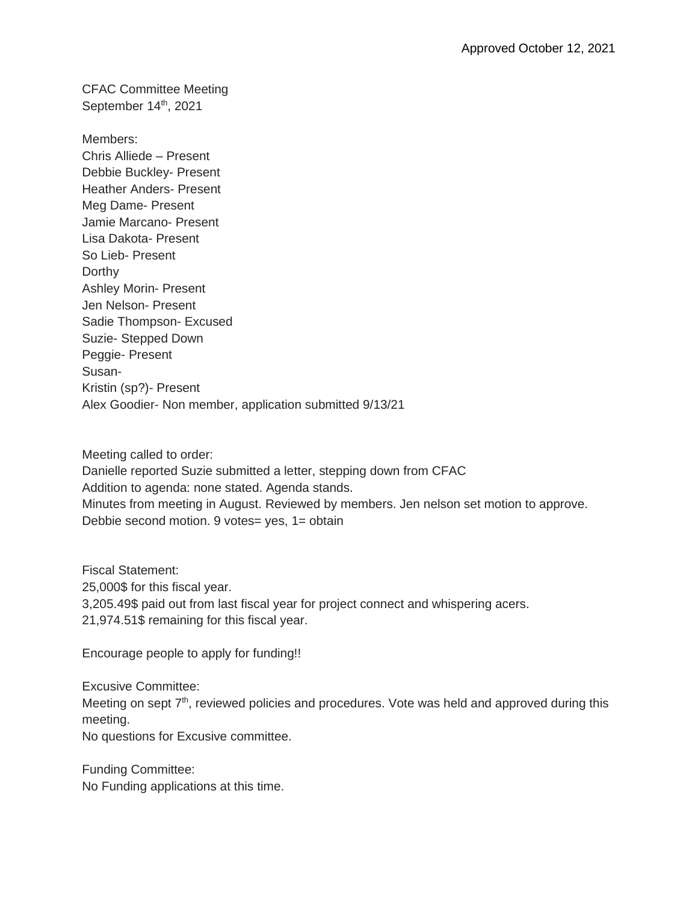CFAC Committee Meeting September 14<sup>th</sup>, 2021

Members: Chris Alliede – Present Debbie Buckley- Present Heather Anders- Present Meg Dame- Present Jamie Marcano- Present Lisa Dakota- Present So Lieb- Present Dorthy Ashley Morin- Present Jen Nelson- Present Sadie Thompson- Excused Suzie- Stepped Down Peggie- Present Susan-Kristin (sp?)- Present Alex Goodier- Non member, application submitted 9/13/21

Meeting called to order: Danielle reported Suzie submitted a letter, stepping down from CFAC Addition to agenda: none stated. Agenda stands. Minutes from meeting in August. Reviewed by members. Jen nelson set motion to approve. Debbie second motion. 9 votes= yes, 1= obtain

Fiscal Statement: 25,000\$ for this fiscal year. 3,205.49\$ paid out from last fiscal year for project connect and whispering acers. 21,974.51\$ remaining for this fiscal year.

Encourage people to apply for funding!!

Excusive Committee: Meeting on sept  $7<sup>th</sup>$ , reviewed policies and procedures. Vote was held and approved during this meeting. No questions for Excusive committee.

Funding Committee: No Funding applications at this time.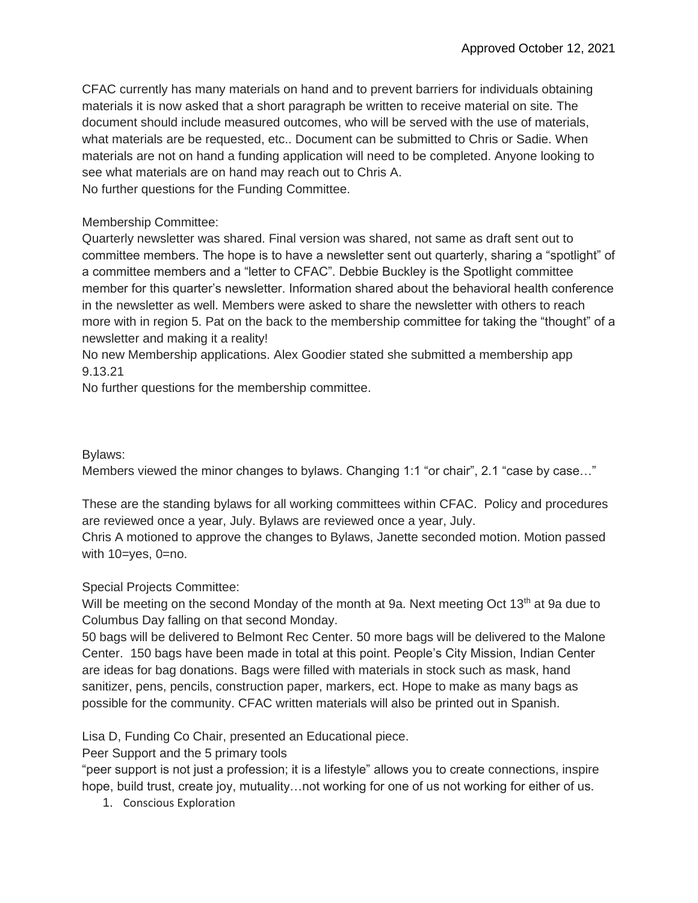CFAC currently has many materials on hand and to prevent barriers for individuals obtaining materials it is now asked that a short paragraph be written to receive material on site. The document should include measured outcomes, who will be served with the use of materials, what materials are be requested, etc.. Document can be submitted to Chris or Sadie. When materials are not on hand a funding application will need to be completed. Anyone looking to see what materials are on hand may reach out to Chris A. No further questions for the Funding Committee.

## Membership Committee:

Quarterly newsletter was shared. Final version was shared, not same as draft sent out to committee members. The hope is to have a newsletter sent out quarterly, sharing a "spotlight" of a committee members and a "letter to CFAC". Debbie Buckley is the Spotlight committee member for this quarter's newsletter. Information shared about the behavioral health conference in the newsletter as well. Members were asked to share the newsletter with others to reach more with in region 5. Pat on the back to the membership committee for taking the "thought" of a newsletter and making it a reality!

No new Membership applications. Alex Goodier stated she submitted a membership app 9.13.21

No further questions for the membership committee.

## Bylaws:

Members viewed the minor changes to bylaws. Changing 1:1 "or chair", 2.1 "case by case..."

These are the standing bylaws for all working committees within CFAC. Policy and procedures are reviewed once a year, July. Bylaws are reviewed once a year, July. Chris A motioned to approve the changes to Bylaws, Janette seconded motion. Motion passed with 10=yes, 0=no.

## Special Projects Committee:

Will be meeting on the second Monday of the month at 9a. Next meeting Oct 13<sup>th</sup> at 9a due to Columbus Day falling on that second Monday.

50 bags will be delivered to Belmont Rec Center. 50 more bags will be delivered to the Malone Center. 150 bags have been made in total at this point. People's City Mission, Indian Center are ideas for bag donations. Bags were filled with materials in stock such as mask, hand sanitizer, pens, pencils, construction paper, markers, ect. Hope to make as many bags as possible for the community. CFAC written materials will also be printed out in Spanish.

Lisa D, Funding Co Chair, presented an Educational piece.

Peer Support and the 5 primary tools

"peer support is not just a profession; it is a lifestyle" allows you to create connections, inspire hope, build trust, create joy, mutuality...not working for one of us not working for either of us.

1. Conscious Exploration